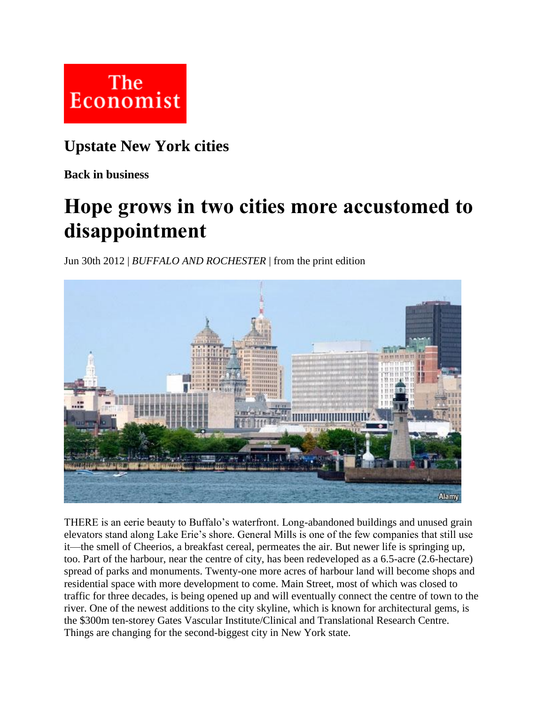

## **Upstate New York cities**

**Back in business**

## **Hope grows in two cities more accustomed to disappointment**

Jun 30th 2012 | *BUFFALO AND ROCHESTER* | from the print edition



THERE is an eerie beauty to Buffalo's waterfront. Long-abandoned buildings and unused grain elevators stand along Lake Erie's shore. General Mills is one of the few companies that still use it—the smell of Cheerios, a breakfast cereal, permeates the air. But newer life is springing up, too. Part of the harbour, near the centre of city, has been redeveloped as a 6.5-acre (2.6-hectare) spread of parks and monuments. Twenty-one more acres of harbour land will become shops and residential space with more development to come. Main Street, most of which was closed to traffic for three decades, is being opened up and will eventually connect the centre of town to the river. One of the newest additions to the city skyline, which is known for architectural gems, is the \$300m ten-storey Gates Vascular Institute/Clinical and Translational Research Centre. Things are changing for the second-biggest city in New York state.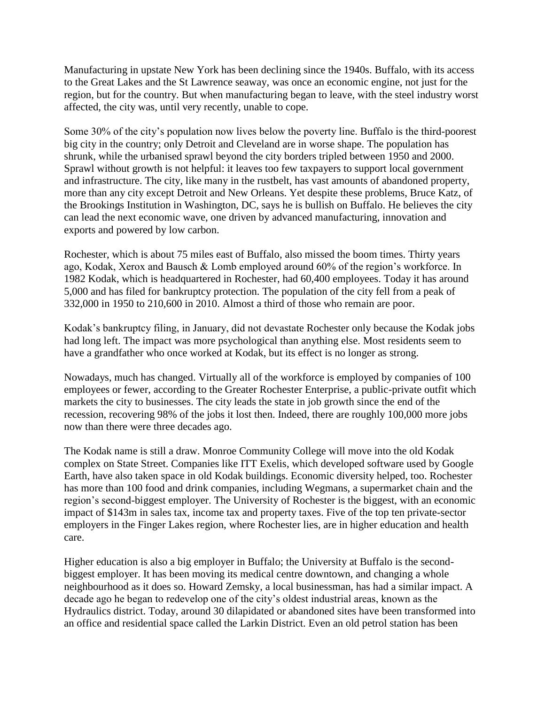Manufacturing in upstate New York has been declining since the 1940s. Buffalo, with its access to the Great Lakes and the St Lawrence seaway, was once an economic engine, not just for the region, but for the country. But when manufacturing began to leave, with the steel industry worst affected, the city was, until very recently, unable to cope.

Some 30% of the city's population now lives below the poverty line. Buffalo is the third-poorest big city in the country; only Detroit and Cleveland are in worse shape. The population has shrunk, while the urbanised sprawl beyond the city borders tripled between 1950 and 2000. Sprawl without growth is not helpful: it leaves too few taxpayers to support local government and infrastructure. The city, like many in the rustbelt, has vast amounts of abandoned property, more than any city except Detroit and New Orleans. Yet despite these problems, Bruce Katz, of the Brookings Institution in Washington, DC, says he is bullish on Buffalo. He believes the city can lead the next economic wave, one driven by advanced manufacturing, innovation and exports and powered by low carbon.

Rochester, which is about 75 miles east of Buffalo, also missed the boom times. Thirty years ago, Kodak, Xerox and Bausch & Lomb employed around 60% of the region's workforce. In 1982 Kodak, which is headquartered in Rochester, had 60,400 employees. Today it has around 5,000 and has filed for bankruptcy protection. The population of the city fell from a peak of 332,000 in 1950 to 210,600 in 2010. Almost a third of those who remain are poor.

Kodak's bankruptcy filing, in January, did not devastate Rochester only because the Kodak jobs had long left. The impact was more psychological than anything else. Most residents seem to have a grandfather who once worked at Kodak, but its effect is no longer as strong.

Nowadays, much has changed. Virtually all of the workforce is employed by companies of 100 employees or fewer, according to the Greater Rochester Enterprise, a public-private outfit which markets the city to businesses. The city leads the state in job growth since the end of the recession, recovering 98% of the jobs it lost then. Indeed, there are roughly 100,000 more jobs now than there were three decades ago.

The Kodak name is still a draw. Monroe Community College will move into the old Kodak complex on State Street. Companies like ITT Exelis, which developed software used by Google Earth, have also taken space in old Kodak buildings. Economic diversity helped, too. Rochester has more than 100 food and drink companies, including Wegmans, a supermarket chain and the region's second-biggest employer. The University of Rochester is the biggest, with an economic impact of \$143m in sales tax, income tax and property taxes. Five of the top ten private-sector employers in the Finger Lakes region, where Rochester lies, are in higher education and health care.

Higher education is also a big employer in Buffalo; the University at Buffalo is the secondbiggest employer. It has been moving its medical centre downtown, and changing a whole neighbourhood as it does so. Howard Zemsky, a local businessman, has had a similar impact. A decade ago he began to redevelop one of the city's oldest industrial areas, known as the Hydraulics district. Today, around 30 dilapidated or abandoned sites have been transformed into an office and residential space called the Larkin District. Even an old petrol station has been